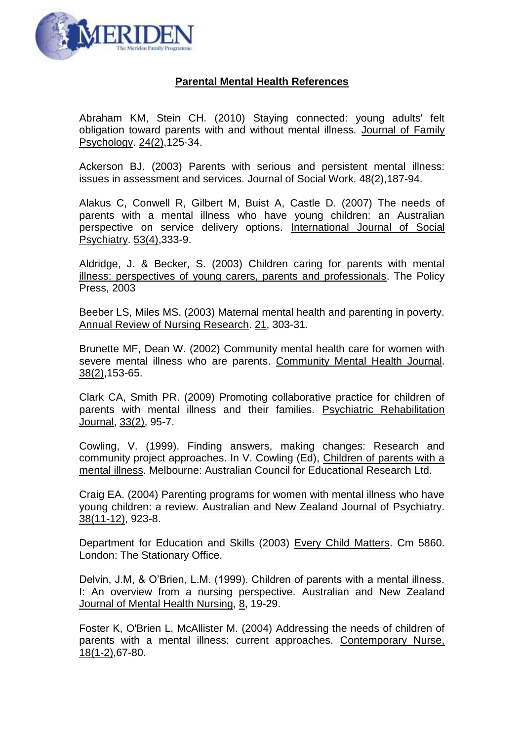

## **Parental Mental Health References**

Abraham KM, Stein CH. (2010) [Staying connected: young adults' felt](http://www.ncbi.nlm.nih.gov/pubmed/20438188)  [obligation toward parents with and without mental illness.](http://www.ncbi.nlm.nih.gov/pubmed/20438188) Journal of Family Psychology. 24(2),125-34.

Ackerson BJ. (2003) [Parents with serious and persistent mental illness:](http://www.ncbi.nlm.nih.gov/pubmed/12718414)  [issues in assessment and services.](http://www.ncbi.nlm.nih.gov/pubmed/12718414) Journal of Social Work. 48(2),187-94.

Alakus C, Conwell R, Gilbert M, Buist A, Castle D. (2007) [The needs of](http://www.ncbi.nlm.nih.gov/pubmed/17703649)  [parents with a mental illness who have young children: an Australian](http://www.ncbi.nlm.nih.gov/pubmed/17703649)  [perspective on service delivery options.](http://www.ncbi.nlm.nih.gov/pubmed/17703649) International Journal of Social Psychiatry. 53(4),333-9.

Aldridge, J. & Becker, S. (2003) Children caring for parents with mental illness: perspectives of young carers, parents and professionals. The Policy Press, 2003

Beeber LS, Miles MS. (2003) [Maternal mental health and parenting in poverty.](http://www.ncbi.nlm.nih.gov/pubmed/12858701) Annual Review of Nursing Research. 21, 303-31.

Brunette MF, Dean W. (2002) [Community mental health care for women with](http://www.ncbi.nlm.nih.gov/pubmed/11944792)  [severe mental illness who are parents.](http://www.ncbi.nlm.nih.gov/pubmed/11944792) Community Mental Health Journal. 38(2),153-65.

Clark CA, Smith PR. (2009) [Promoting collaborative practice for children of](http://www.ncbi.nlm.nih.gov/pubmed/19808204)  [parents with mental illness and their families.](http://www.ncbi.nlm.nih.gov/pubmed/19808204) Psychiatric Rehabilitation Journal, 33(2), 95-7.

Cowling, V. (1999). Finding answers, making changes: Research and community project approaches. In V. Cowling (Ed), Children of parents with a mental illness. Melbourne: Australian Council for Educational Research Ltd.

Craig EA. (2004) [Parenting programs for women with mental illness who have](http://www.ncbi.nlm.nih.gov/pubmed/15555026)  [young children: a review.](http://www.ncbi.nlm.nih.gov/pubmed/15555026) Australian and New Zealand Journal of Psychiatry. 38(11-12), 923-8.

Department for Education and Skills (2003) Every Child Matters. Cm 5860. London: The Stationary Office.

Delvin, J.M, & O'Brien, L.M. (1999). Children of parents with a mental illness. I: An overview from a nursing perspective. Australian and New Zealand Journal of Mental Health Nursing, 8, 19-29.

Foster K, O'Brien L, McAllister M. (2004) [Addressing the needs of children of](http://www.ncbi.nlm.nih.gov/pubmed/15729799)  [parents with a mental illness: current approaches.](http://www.ncbi.nlm.nih.gov/pubmed/15729799) Contemporary Nurse, 18(1-2),67-80.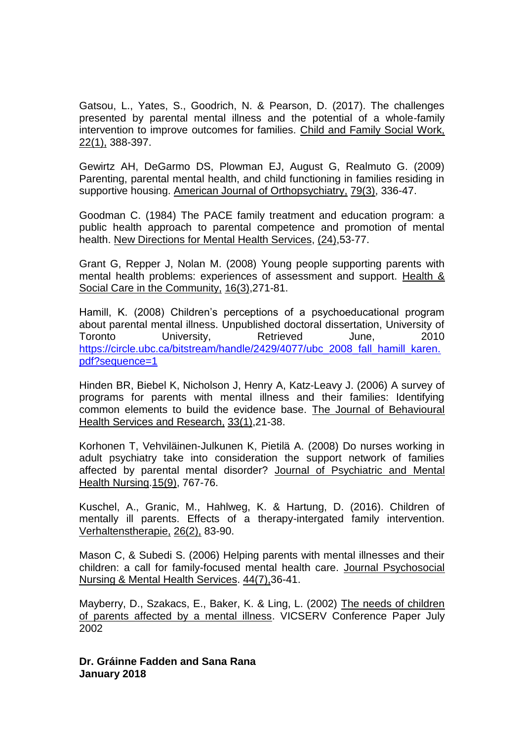Gatsou, L., Yates, S., Goodrich, N. & Pearson, D. (2017). The challenges presented by parental mental illness and the potential of a whole-family intervention to improve outcomes for families. Child and Family Social Work, 22(1), 388-397.

Gewirtz AH, DeGarmo DS, Plowman EJ, August G, Realmuto G. (2009) [Parenting, parental mental health, and child functioning in families residing in](http://www.ncbi.nlm.nih.gov/pubmed/19839671)  [supportive housing.](http://www.ncbi.nlm.nih.gov/pubmed/19839671) American Journal of Orthopsychiatry, 79(3), 336-47.

Goodman C. (1984) [The PACE family treatment and education program: a](http://www.ncbi.nlm.nih.gov/pubmed/6521708)  [public health approach to parental competence and promotion of mental](http://www.ncbi.nlm.nih.gov/pubmed/6521708)  [health.](http://www.ncbi.nlm.nih.gov/pubmed/6521708) New Directions for Mental Health Services, (24),53-77.

[Grant G,](http://www.ncbi.nlm.nih.gov/sites/entrez?Db=pubmed&Cmd=Search&Term=%22Grant%20G%22%5BAuthor%5D&itool=EntrezSystem2.PEntrez.Pubmed.Pubmed_ResultsPanel.Pubmed_RVAbstract) [Repper J,](http://www.ncbi.nlm.nih.gov/sites/entrez?Db=pubmed&Cmd=Search&Term=%22Repper%20J%22%5BAuthor%5D&itool=EntrezSystem2.PEntrez.Pubmed.Pubmed_ResultsPanel.Pubmed_RVAbstract) [Nolan M.](http://www.ncbi.nlm.nih.gov/sites/entrez?Db=pubmed&Cmd=Search&Term=%22Nolan%20M%22%5BAuthor%5D&itool=EntrezSystem2.PEntrez.Pubmed.Pubmed_ResultsPanel.Pubmed_RVAbstract) (2008) Young people supporting parents with mental health problems: experiences of assessment and support. [Health &](javascript:AL_get(this,%20)  Social [Care in the Community,](javascript:AL_get(this,%20) 16(3),271-81.

Hamill, K. (2008) Children's perceptions of a psychoeducational program about parental mental illness. Unpublished doctoral dissertation, University of Toronto University, Retrieved June, 2010 [https://circle.ubc.ca/bitstream/handle/2429/4077/ubc\\_2008\\_fall\\_hamill\\_karen.](https://circle.ubc.ca/bitstream/handle/2429/4077/ubc_2008_fall_hamill_karen.pdf?sequence=1) [pdf?sequence=1](https://circle.ubc.ca/bitstream/handle/2429/4077/ubc_2008_fall_hamill_karen.pdf?sequence=1)

Hinden BR, Biebel K, Nicholson J, Henry A, Katz-Leavy J. (2006) [A survey of](http://www.ncbi.nlm.nih.gov/pubmed/16636906)  [programs for parents with mental illness and their families: Identifying](http://www.ncbi.nlm.nih.gov/pubmed/16636906)  [common elements to build the evidence base.](http://www.ncbi.nlm.nih.gov/pubmed/16636906) The Journal of Behavioural Health Services and Research, 33(1),21-38.

[Korhonen T,](http://www.ncbi.nlm.nih.gov/sites/entrez?Db=pubmed&Cmd=Search&Term=%22Korhonen%20T%22%5BAuthor%5D&itool=EntrezSystem2.PEntrez.Pubmed.Pubmed_ResultsPanel.Pubmed_RVAbstract) [Vehviläinen-Julkunen K,](http://www.ncbi.nlm.nih.gov/sites/entrez?Db=pubmed&Cmd=Search&Term=%22Vehvil%C3%A4inen-Julkunen%20K%22%5BAuthor%5D&itool=EntrezSystem2.PEntrez.Pubmed.Pubmed_ResultsPanel.Pubmed_RVAbstract) [Pietilä A.](http://www.ncbi.nlm.nih.gov/sites/entrez?Db=pubmed&Cmd=Search&Term=%22Pietil%C3%A4%20A%22%5BAuthor%5D&itool=EntrezSystem2.PEntrez.Pubmed.Pubmed_ResultsPanel.Pubmed_RVAbstract) (2008) Do nurses working in adult psychiatry take into consideration the support network of families affected by parental mental disorder? Journal of [Psychiatric and](javascript:AL_get(this,%20) Mental [Health Nursing.1](javascript:AL_get(this,%20)5(9), 767-76.

Kuschel, A., Granic, M., Hahlweg, K. & Hartung, D. (2016). Children of mentally ill parents. Effects of a therapy-intergated family intervention. Verhaltenstherapie, 26(2), 83-90.

Mason C, & Subedi S. (2006) [Helping parents with mental illnesses and their](http://www.ncbi.nlm.nih.gov/pubmed/17310833)  [children: a call for family-focused mental health care.](http://www.ncbi.nlm.nih.gov/pubmed/17310833) Journal Psychosocial Nursing & Mental Health Services. 44(7),36-41.

Mayberry, D., Szakacs, E., Baker, K. & Ling, L. (2002) The needs of children of parents affected by a mental illness. VICSERV Conference Paper July 2002

**Dr. Gráinne Fadden and Sana Rana January 2018**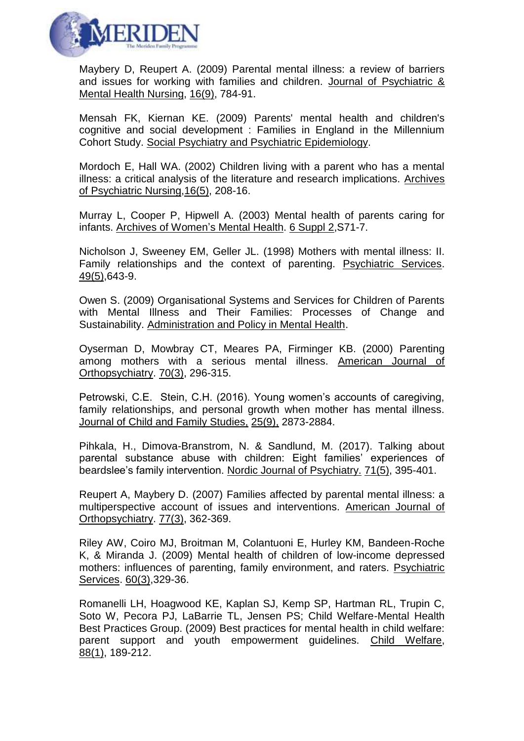

Maybery D, Reupert A. (2009) [Parental mental illness: a review of barriers](http://www.ncbi.nlm.nih.gov/pubmed/19824972)  [and issues for working with families and children.](http://www.ncbi.nlm.nih.gov/pubmed/19824972) Journal of Psychiatric & Mental Health Nursing, 16(9), 784-91.

Mensah FK, Kiernan KE. (2009) [Parents' mental health and children's](http://www.ncbi.nlm.nih.gov/pubmed/19823757)  [cognitive and social development : Families in England in the Millennium](http://www.ncbi.nlm.nih.gov/pubmed/19823757)  [Cohort Study.](http://www.ncbi.nlm.nih.gov/pubmed/19823757) Social Psychiatry and Psychiatric Epidemiology.

Mordoch E, Hall WA. (2002) [Children living with a parent who has a mental](http://www.ncbi.nlm.nih.gov/pubmed/12434326)  [illness: a critical analysis of the literature and research implications.](http://www.ncbi.nlm.nih.gov/pubmed/12434326) Archives of Psychiatric Nursing,16(5), 208-16.

Murray L, Cooper P, Hipwell A. (2003) [Mental health of parents caring for](http://www.ncbi.nlm.nih.gov/pubmed/14615925)  [infants.](http://www.ncbi.nlm.nih.gov/pubmed/14615925) Archives of Women's Mental Health. 6 Suppl 2,S71-7.

Nicholson J, Sweeney EM, Geller JL. (1998) [Mothers with mental illness: II.](http://www.ncbi.nlm.nih.gov/pubmed/9603570)  [Family relationships and the context of parenting.](http://www.ncbi.nlm.nih.gov/pubmed/9603570) Psychiatric Services. 49(5),643-9.

Owen S. (2009) [Organisational Systems and Services for Children of Parents](http://www.ncbi.nlm.nih.gov/pubmed/19908136)  [with Mental Illness and Their Families: Processes of Change and](http://www.ncbi.nlm.nih.gov/pubmed/19908136)  [Sustainability.](http://www.ncbi.nlm.nih.gov/pubmed/19908136) Administration and Policy in Mental Health.

Oyserman D, Mowbray CT, Meares PA, Firminger KB. (2000) [Parenting](http://www.ncbi.nlm.nih.gov/pubmed/10953777)  [among mothers with a serious mental illness.](http://www.ncbi.nlm.nih.gov/pubmed/10953777) American Journal of Orthopsychiatry. 70(3), 296-315.

Petrowski, C.E. Stein, C.H. (2016). Young women's accounts of caregiving, family relationships, and personal growth when mother has mental illness. Journal of Child and Family Studies, 25(9), 2873-2884.

Pihkala, H., Dimova-Branstrom, N. & Sandlund, M. (2017). Talking about parental substance abuse with children: Eight families' experiences of beardslee's family intervention. Nordic Journal of Psychiatry. 71(5), 395-401.

Reupert A, Maybery D. (2007) [Families affected by parental mental illness: a](http://www.ncbi.nlm.nih.gov/pubmed/17696664)  [multiperspective account of issues and interventions.](http://www.ncbi.nlm.nih.gov/pubmed/17696664) American Journal of Orthopsychiatry. 77(3), 362-369.

Riley AW, Coiro MJ, Broitman M, Colantuoni E, Hurley KM, Bandeen-Roche K, & Miranda J. (2009) [Mental health of children of low-income depressed](http://www.ncbi.nlm.nih.gov/pubmed/19252045)  [mothers: influences of parenting, family environment, and raters.](http://www.ncbi.nlm.nih.gov/pubmed/19252045) Psychiatric Services. 60(3),329-36.

Romanelli LH, Hoagwood KE, Kaplan SJ, Kemp SP, Hartman RL, Trupin C, Soto W, Pecora PJ, LaBarrie TL, Jensen PS; Child Welfare-Mental Health Best Practices Group. (2009) [Best practices for mental health in child welfare:](http://www.ncbi.nlm.nih.gov/pubmed/19653459)  [parent support and youth empowerment guidelines.](http://www.ncbi.nlm.nih.gov/pubmed/19653459) Child Welfare, 88(1), 189-212.